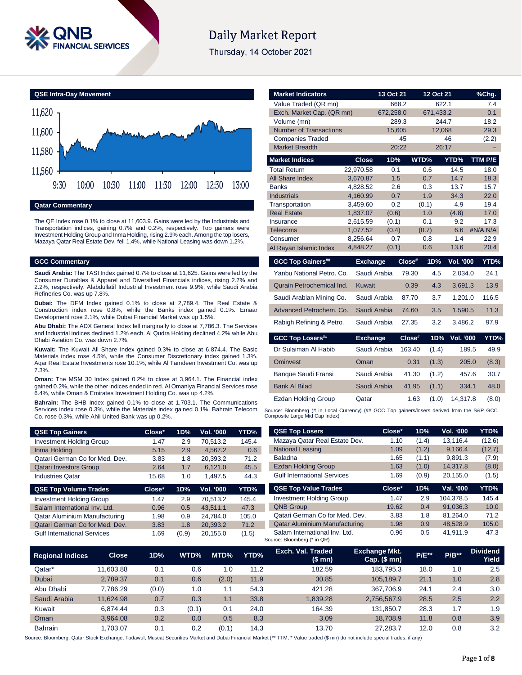

# **Daily Market Report**

Thursday, 14 October 2021



### **Qatar Commentary**

The QE Index rose 0.1% to close at 11,603.9. Gains were led by the Industrials and Transportation indices, gaining 0.7% and 0.2%, respectively. Top gainers were Investment Holding Group and Inma Holding, rising 2.9% each. Among the top losers, Mazaya Qatar Real Estate Dev. fell 1.4%, while National Leasing was down 1.2%.

#### **GCC Commentary**

**Saudi Arabia:** The TASI Index gained 0.7% to close at 11,625. Gains were led by the Consumer Durables & Apparel and Diversified Financials indices, rising 2.7% and 2.2%, respectively. Alabdullatif Industrial Investment rose 9.9%, while Saudi Arabia Refineries Co. was up 7.8%.

**Dubai:** The DFM Index gained 0.1% to close at 2,789.4. The Real Estate & Construction index rose 0.8%, while the Banks index gained 0.1%. Emaar Development rose 2.1%, while Dubai Financial Market was up 1.5%.

**Abu Dhabi:** The ADX General Index fell marginally to close at 7,786.3. The Services and Industrial indices declined 1.2% each. Al Qudra Holding declined 4.2% while Abu Dhabi Aviation Co. was down 2.7%.

**Kuwait:** The Kuwait All Share Index gained 0.3% to close at 6,874.4. The Basic Materials index rose 4.5%, while the Consumer Discretionary index gained 1.3%. Aqar Real Estate Investments rose 10.1%, while Al Tamdeen Investment Co. was up 7.3%.

**Oman:** The MSM 30 Index gained 0.2% to close at 3,964.1. The Financial index gained 0.2%, while the other indices ended in red. Al Omaniya Financial Services rose 6.4%, while Oman & Emirates Investment Holding Co. was up 4.2%.

**Bahrain:** The BHB Index gained 0.1% to close at 1,703.1. The Communications Services index rose 0.3%, while the Materials index gained 0.1%. Bahrain Telecom Co. rose 0.3%, while Ahli United Bank was up 0.2%.

| <b>QSE Top Gainers</b>          | Close* | 1D% | <b>Vol. '000</b> | YTD%  |
|---------------------------------|--------|-----|------------------|-------|
| <b>Investment Holding Group</b> | 1.47   | 2.9 | 70.513.2         | 145.4 |
| Inma Holding                    | 5.15   | 2.9 | 4.567.2          | 0.6   |
| Qatari German Co for Med. Dev.  | 3.83   | 1.8 | 20,393.2         | 71.2  |
| <b>Qatari Investors Group</b>   | 2.64   | 1.7 | 6.121.0          | 45.5  |
| <b>Industries Qatar</b>         | 15.68  | 1.0 | 1.497.5          | 44.3  |
| <b>QSE Top Volume Trades</b>    | Close* | 1D% | Vol. '000        | YTD%  |
| <b>Investment Holding Group</b> | 1.47   | 2.9 | 70.513.2         | 145.4 |
|                                 |        |     |                  |       |

| <b>INVESTMENT HOIGING GTOUP</b>    | 1.41 | Z.Y   | 10.513.2 | 140.4 |
|------------------------------------|------|-------|----------|-------|
| Salam International Inv. Ltd.      | 0.96 | 0.5   | 43.511.1 | 47.3  |
| Qatar Aluminium Manufacturing      | 1.98 | 0.9   | 24.784.0 | 105.0 |
| Qatari German Co for Med. Dev.     | 3.83 | 1.8   | 20.393.2 | 71.2  |
| <b>Gulf International Services</b> | 1.69 | (0.9) | 20.155.0 | (1.5) |

| <b>Market Indicators</b>      |                      | 13 Oct 21    |        | 12 Oct 21    |                  | %Chg.            |
|-------------------------------|----------------------|--------------|--------|--------------|------------------|------------------|
| Value Traded (QR mn)          |                      |              | 668.2  | 622.1        |                  | 7.4              |
| Exch. Market Cap. (QR mn)     |                      | 672,258.0    |        | 671,433.2    |                  | 0.1              |
| Volume (mn)                   |                      |              | 289.3  | 244.7        |                  | 18.2             |
| <b>Number of Transactions</b> |                      | 15,605       |        | 12,068       |                  | 29.3             |
| <b>Companies Traded</b>       |                      |              | 45     |              | 46               | (2.2)            |
| <b>Market Breadth</b>         |                      |              | 20:22  | 26:17        |                  |                  |
| <b>Market Indices</b>         | <b>Close</b>         | 1D%          |        | WTD%         | YTD%             | TTM P/E          |
| <b>Total Return</b>           | 22,970.58            | 0.1          |        | 0.6          | 14.5             | 18.0             |
| <b>All Share Index</b>        | 3,670.87             | 1.5          |        | 0.7          | 14.7             | 18.3             |
| <b>Banks</b>                  | 4,828.52             | 2.6          |        | 0.3          | 13.7             | 15.7             |
| <b>Industrials</b>            | 4,160.99             | 0.7          |        | 1.9          | 34.3             | 22.0             |
| Transportation                | 3,459.60             | 0.2          |        | (0.1)        | 4.9              | 19.4             |
| <b>Real Estate</b>            | 1,837.07             | (0.6)        |        | 1.0          | (4.8)            | 17.0             |
| Insurance                     | 2,615.59             | (0.1)        |        | 0.1          | 9.2              | 17.3             |
| <b>Telecoms</b><br>Consumer   | 1,077.52<br>8,256.64 | (0.4)<br>0.7 |        | (0.7)<br>0.8 | 6.6<br>1.4       | #N/A N/A<br>22.9 |
|                               | 4,848.27             | (0.1)        |        | 0.6          | 13.6             | 20.4             |
| Al Rayan Islamic Index        |                      |              |        |              |                  |                  |
| <b>GCC Top Gainers##</b>      | <b>Exchange</b>      |              | Close# | 1D%          | <b>Vol. '000</b> | YTD%             |
| Yanbu National Petro, Co.     | Saudi Arabia         |              | 79.30  | 4.5          | 2,034.0          | 24.1             |
| Qurain Petrochemical Ind.     | <b>Kuwait</b>        |              | 0.39   | 4.3          | 3,691.3          | 13.9             |
| Saudi Arabian Mining Co.      | Saudi Arabia         |              | 87.70  | 3.7          | 1,201.0          | 116.5            |
| Advanced Petrochem. Co.       | Saudi Arabia         |              | 74.60  | 3.5          | 1,590.5          | 11.3             |
| Rabigh Refining & Petro.      | Saudi Arabia         |              | 27.35  | 3.2          | 3,486.2          | 97.9             |
| <b>GCC Top Losers##</b>       | <b>Exchange</b>      |              | Close# | 1D%          | <b>Vol. '000</b> | YTD%             |
| Dr Sulaiman Al Habib          | Saudi Arabia         |              | 163.40 | (1.4)        | 189.5            | 49.9             |
| <b>Ominvest</b>               | Oman                 |              | 0.31   | (1.3)        | 205.0            | (8.3)            |
| Banque Saudi Fransi           | Saudi Arabia         |              | 41.30  | (1.2)        | 457.6            | 30.7             |
| <b>Bank Al Bilad</b>          | Saudi Arabia         |              | 41.95  | (1.1)        | 334.1            | 48.0             |
| <b>Ezdan Holding Group</b>    | Qatar                |              | 1.63   | (1.0)        | 14,317.8         | (8.0)            |

Source: Bloomberg (# in Local Currency) (## GCC Top gainers/losers derived from the S&P GCC Composite Large Mid Cap Index)

| <b>QSE Top Losers</b>                | Close* | 1D%   | <b>Vol. '000</b> | YTD%   |
|--------------------------------------|--------|-------|------------------|--------|
| Mazaya Qatar Real Estate Dev.        | 1.10   | (1.4) | 13,116.4         | (12.6) |
| <b>National Leasing</b>              | 1.09   | (1.2) | 9,166.4          | (12.7) |
| <b>Baladna</b>                       | 1.65   | (1.1) | 9,891.3          | (7.9)  |
| <b>Ezdan Holding Group</b>           | 1.63   | (1.0) | 14.317.8         | (8.0)  |
| <b>Gulf International Services</b>   | 1.69   | (0.9) | 20.155.0         | (1.5)  |
|                                      |        |       |                  |        |
| <b>QSE Top Value Trades</b>          | Close* | 1D%   | Val. '000        | YTD%   |
| <b>Investment Holding Group</b>      | 1.47   | 2.9   | 104.378.5        | 145.4  |
| <b>QNB Group</b>                     | 19.62  | 0.4   | 91.036.3         | 10.0   |
| Qatari German Co for Med. Dev.       | 3.83   | 1.8   | 81.264.0         | 71.2   |
| <b>Qatar Aluminium Manufacturing</b> | 1.98   | 0.9   | 48.528.9         | 105.0  |

| <b>Regional Indices</b> | <b>Close</b> | 1D%   | WTD%  | MTD%  | YTD% | Exch. Val. Traded<br>(\$ mn) | <b>Exchange Mkt.</b><br>Cap. $($mn)$ | <b>P/E**</b> | $P/B**$ | <b>Dividend</b><br>Yield |
|-------------------------|--------------|-------|-------|-------|------|------------------------------|--------------------------------------|--------------|---------|--------------------------|
| Qatar*                  | 11.603.88    | 0.1   | 0.6   | 1.0   | 11.2 | 182.59                       | 183.795.3                            | 18.0         | 1.8     | 2.5                      |
| <b>Dubai</b>            | 2,789.37     | 0.1   | 0.6   | (2.0) | 11.9 | 30.85                        | 105.189.7                            | 21.1         | 1.0     | 2.8                      |
| Abu Dhabi               | 7.786.29     | (0.0) | 1.0   | 1.1   | 54.3 | 421.28                       | 367.706.9                            | 24.1         | 2.4     | 3.0                      |
| Saudi Arabia            | 11.624.98    | 0.7   | 0.3   | 1.1   | 33.8 | 1.839.28                     | 2,756,567.9                          | 28.5         | 2.5     | 2.2                      |
| Kuwait                  | 6.874.44     | 0.3   | (0.1) | 0.1   | 24.0 | 164.39                       | 131.850.7                            | 28.3         | 1.7     | 1.9                      |
| Oman                    | 3.964.08     | 0.2   | 0.0   | 0.5   | 8.3  | 3.09                         | 18.708.9                             | 11.8         | 0.8     | 3.9                      |
| <b>Bahrain</b>          | 1.703.07     | 0.1   | 0.2   | (0.1) | 14.3 | 13.70                        | 27.283.7                             | 12.0         | 0.8     | 3.2                      |

Source: Bloomberg, Qatar Stock Exchange, Tadawul, Muscat Securities Market and Dubai Financial Market (\*\* TTM; \* Value traded (\$ mn) do not include special trades, if any)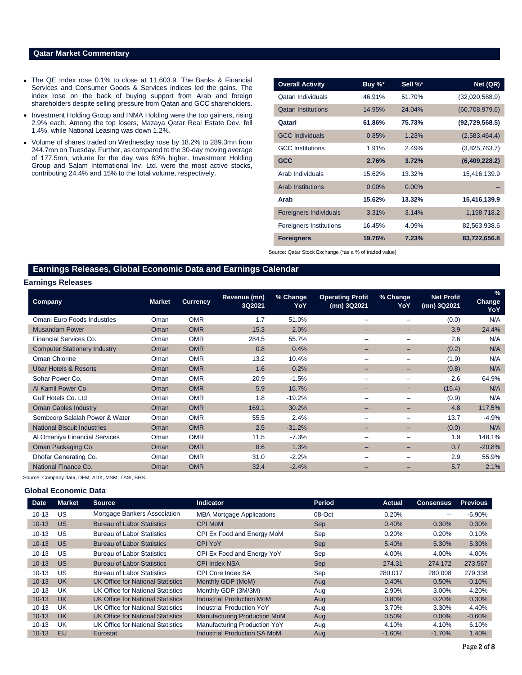#### **Qatar Market Commentary**

- The QE Index rose 0.1% to close at 11,603.9. The Banks & Financial Services and Consumer Goods & Services indices led the gains. The index rose on the back of buying support from Arab and foreign shareholders despite selling pressure from Qatari and GCC shareholders.
- Investment Holding Group and INMA Holding were the top gainers, rising 2.9% each. Among the top losers, Mazaya Qatar Real Estate Dev. fell 1.4%, while National Leasing was down 1.2%.
- Volume of shares traded on Wednesday rose by 18.2% to 289.3mn from 244.7mn on Tuesday. Further, as compared to the 30-day moving average of 177.5mn, volume for the day was 63% higher. Investment Holding Group and Salam International Inv. Ltd. were the most active stocks, contributing 24.4% and 15% to the total volume, respectively.

| <b>Overall Activity</b>        | Buy %*   | Sell %*  | Net (QR)         |
|--------------------------------|----------|----------|------------------|
| Qatari Individuals             | 46.91%   | 51.70%   | (32,020,588.9)   |
| <b>Qatari Institutions</b>     | 14.95%   | 24.04%   | (60,708,979.6)   |
| Qatari                         | 61.86%   | 75.73%   | (92, 729, 568.5) |
| <b>GCC Individuals</b>         | 0.85%    | 1.23%    | (2,583,464.4)    |
| <b>GCC</b> Institutions        | 1.91%    | 2.49%    | (3,825,763.7)    |
| <b>GCC</b>                     | 2.76%    | 3.72%    | (6,409,228.2)    |
| Arab Individuals               | 15.62%   | 13.32%   | 15,416,139.9     |
| Arab Institutions              | $0.00\%$ | $0.00\%$ |                  |
| Arab                           | 15.62%   | 13.32%   | 15,416,139.9     |
| <b>Foreigners Individuals</b>  | 3.31%    | 3.14%    | 1,158,718.2      |
| <b>Foreigners Institutions</b> | 16.45%   | 4.09%    | 82,563,938.6     |
| <b>Foreigners</b>              | 19.76%   | 7.23%    | 83,722,656.8     |

Source: Qatar Stock Exchange (\*as a % of traded value)

# **Earnings Releases, Global Economic Data and Earnings Calendar**

### **Earnings Releases**

| Company                             | <b>Market</b> | <b>Currency</b> | Revenue (mn)<br>3Q2021 | % Change<br>YoY | <b>Operating Profit</b><br>(mn) 3Q2021 | % Change<br>YoY | <b>Net Profit</b><br>(mn) 3Q2021 | $\%$<br><b>Change</b><br>YoY |
|-------------------------------------|---------------|-----------------|------------------------|-----------------|----------------------------------------|-----------------|----------------------------------|------------------------------|
| Omani Euro Foods Industries         | Oman          | <b>OMR</b>      | 1.7                    | 51.0%           |                                        |                 | (0.0)                            | N/A                          |
| <b>Musandam Power</b>               | Oman          | <b>OMR</b>      | 15.3                   | 2.0%            | -                                      |                 | 3.9                              | 24.4%                        |
| Financial Services Co.              | Oman          | <b>OMR</b>      | 284.5                  | 55.7%           |                                        |                 | 2.6                              | N/A                          |
| <b>Computer Stationery Industry</b> | Oman          | <b>OMR</b>      | 0.8                    | 0.4%            | $\overline{\phantom{0}}$               |                 | (0.2)                            | N/A                          |
| Oman Chlorine                       | Oman          | <b>OMR</b>      | 13.2                   | 10.4%           |                                        |                 | (1.9)                            | N/A                          |
| <b>Ubar Hotels &amp; Resorts</b>    | Oman          | <b>OMR</b>      | 1.6                    | 0.2%            | $\overline{\phantom{0}}$               |                 | (0.8)                            | N/A                          |
| Sohar Power Co.                     | Oman          | <b>OMR</b>      | 20.9                   | $-1.5%$         |                                        |                 | 2.6                              | 64.9%                        |
| Al Kamil Power Co.                  | Oman          | <b>OMR</b>      | 5.9                    | 16.7%           | $\overline{\phantom{0}}$               | -               | (15.4)                           | N/A                          |
| Gulf Hotels Co. Ltd                 | Oman          | <b>OMR</b>      | 1.8                    | $-19.2%$        | -                                      | -               | (0.9)                            | N/A                          |
| <b>Oman Cables Industry</b>         | Oman          | <b>OMR</b>      | 169.1                  | 30.2%           | $-$                                    |                 | 4.8                              | 117.5%                       |
| Sembcorp Salalah Power & Water      | Oman          | <b>OMR</b>      | 55.5                   | 2.4%            | -                                      |                 | 13.7                             | $-4.9%$                      |
| <b>National Biscuit Industries</b>  | Oman          | <b>OMR</b>      | 2.5                    | $-31.2%$        |                                        |                 | (0.0)                            | N/A                          |
| Al Omaniya Financial Services       | Oman          | <b>OMR</b>      | 11.5                   | $-7.3%$         |                                        |                 | 1.9                              | 148.1%                       |
| Oman Packaging Co.                  | Oman          | <b>OMR</b>      | 8.6                    | 1.3%            | -                                      | -               | 0.7                              | $-20.8%$                     |
| Dhofar Generating Co.               | Oman          | <b>OMR</b>      | 31.0                   | $-2.2%$         |                                        |                 | 2.9                              | 55.9%                        |
| National Finance Co.                | Oman          | <b>OMR</b>      | 32.4                   | $-2.4%$         |                                        |                 | 5.7                              | 2.1%                         |

Source: Company data, DFM, ADX, MSM, TASI, BHB.

#### **Global Economic Data**

| <b>Date</b> | <b>Market</b> | <b>Source</b>                            | <b>Indicator</b>                    | <b>Period</b> | Actual   | <b>Consensus</b> | <b>Previous</b> |
|-------------|---------------|------------------------------------------|-------------------------------------|---------------|----------|------------------|-----------------|
| $10 - 13$   | US            | Mortgage Bankers Association             | <b>MBA Mortgage Applications</b>    | 08-Oct        | 0.20%    | $- -$            | $-6.90%$        |
| $10 - 13$   | US            | <b>Bureau of Labor Statistics</b>        | <b>CPI MoM</b>                      | <b>Sep</b>    | 0.40%    | 0.30%            | 0.30%           |
| $10 - 13$   | US            | <b>Bureau of Labor Statistics</b>        | CPI Ex Food and Energy MoM          | Sep           | 0.20%    | 0.20%            | 0.10%           |
| $10 - 13$   | US            | <b>Bureau of Labor Statistics</b>        | <b>CPI YoY</b>                      | <b>Sep</b>    | 5.40%    | 5.30%            | 5.30%           |
| $10 - 13$   | US            | <b>Bureau of Labor Statistics</b>        | CPI Ex Food and Energy YoY          | Sep           | 4.00%    | 4.00%            | 4.00%           |
| $10 - 13$   | US            | <b>Bureau of Labor Statistics</b>        | <b>CPI Index NSA</b>                | <b>Sep</b>    | 274.31   | 274.172          | 273.567         |
| $10 - 13$   | US            | <b>Bureau of Labor Statistics</b>        | CPI Core Index SA                   | Sep           | 280.017  | 280.008          | 279.338         |
| $10 - 13$   | <b>UK</b>     | <b>UK Office for National Statistics</b> | Monthly GDP (MoM)                   | Aug           | 0.40%    | $0.50\%$         | $-0.10%$        |
| $10 - 13$   | UK            | UK Office for National Statistics        | Monthly GDP (3M/3M)                 | Aug           | 2.90%    | $3.00\%$         | 4.20%           |
| $10 - 13$   | UK            | UK Office for National Statistics        | <b>Industrial Production MoM</b>    | Aug           | 0.80%    | 0.20%            | 0.30%           |
| $10 - 13$   | UK            | UK Office for National Statistics        | <b>Industrial Production YoY</b>    | Aug           | 3.70%    | 3.30%            | 4.40%           |
| $10 - 13$   | <b>UK</b>     | <b>UK Office for National Statistics</b> | <b>Manufacturing Production MoM</b> | Aug           | 0.50%    | $0.00\%$         | $-0.60%$        |
| $10 - 13$   | UK            | UK Office for National Statistics        | <b>Manufacturing Production YoY</b> | Aug           | 4.10%    | 4.10%            | 6.10%           |
| $10 - 13$   | EU            | Eurostat                                 | <b>Industrial Production SA MoM</b> | Aug           | $-1.60%$ | $-1.70\%$        | 1.40%           |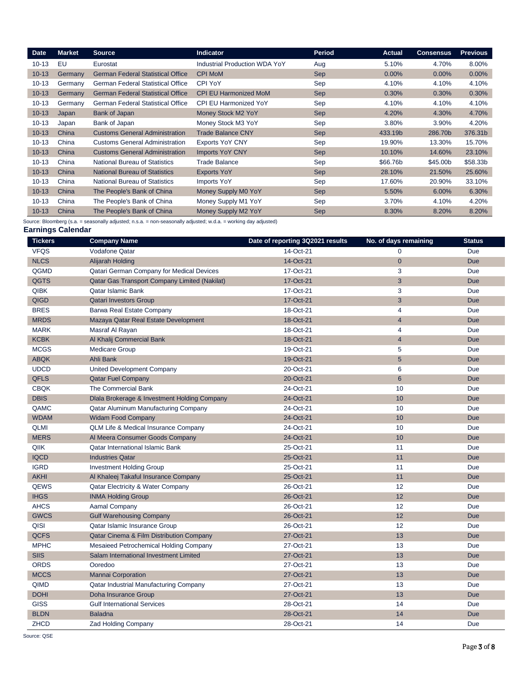| <b>Date</b> | <b>Market</b> | <b>Source</b>                            | <b>Indicator</b>                     | <b>Period</b> | <b>Actual</b> | <b>Consensus</b> | <b>Previous</b> |
|-------------|---------------|------------------------------------------|--------------------------------------|---------------|---------------|------------------|-----------------|
| $10 - 13$   | EU            | Eurostat                                 | <b>Industrial Production WDA YoY</b> | Aug           | 5.10%         | 4.70%            | 8.00%           |
| $10 - 13$   | Germany       | <b>German Federal Statistical Office</b> | <b>CPI MoM</b>                       | <b>Sep</b>    | 0.00%         | 0.00%            | 0.00%           |
| $10 - 13$   | Germany       | <b>German Federal Statistical Office</b> | CPI YoY                              | Sep           | 4.10%         | 4.10%            | 4.10%           |
| $10 - 13$   | Germany       | <b>German Federal Statistical Office</b> | <b>CPI EU Harmonized MoM</b>         | Sep           | 0.30%         | 0.30%            | 0.30%           |
| $10 - 13$   | Germany       | German Federal Statistical Office        | <b>CPI EU Harmonized YoY</b>         | Sep           | 4.10%         | 4.10%            | 4.10%           |
| $10 - 13$   | Japan         | Bank of Japan                            | Money Stock M2 YoY                   | Sep           | 4.20%         | 4.30%            | 4.70%           |
| $10 - 13$   | Japan         | Bank of Japan                            | Money Stock M3 YoY                   | Sep           | 3.80%         | 3.90%            | 4.20%           |
| $10 - 13$   | China         | <b>Customs General Administration</b>    | <b>Trade Balance CNY</b>             | Sep           | 433.19b       | 286.70b          | 376.31b         |
| $10 - 13$   | China         | <b>Customs General Administration</b>    | <b>Exports YoY CNY</b>               | Sep           | 19.90%        | 13.30%           | 15.70%          |
| $10 - 13$   | China         | <b>Customs General Administration</b>    | <b>Imports YoY CNY</b>               | <b>Sep</b>    | 10.10%        | 14.60%           | 23.10%          |
| $10 - 13$   | China         | <b>National Bureau of Statistics</b>     | <b>Trade Balance</b>                 | Sep           | \$66.76b      | \$45.00b         | \$58.33b        |
| $10 - 13$   | China         | <b>National Bureau of Statistics</b>     | <b>Exports YoY</b>                   | Sep           | 28.10%        | 21.50%           | 25.60%          |
| $10 - 13$   | China         | <b>National Bureau of Statistics</b>     | Imports YoY                          | Sep           | 17.60%        | 20.90%           | 33.10%          |
| $10 - 13$   | China         | The People's Bank of China               | Money Supply M0 YoY                  | Sep           | 5.50%         | $6.00\%$         | 6.30%           |
| $10 - 13$   | China         | The People's Bank of China               | Money Supply M1 YoY                  | Sep           | 3.70%         | 4.10%            | 4.20%           |
| $10 - 13$   | China         | The People's Bank of China               | Money Supply M2 YoY                  | <b>Sep</b>    | 8.30%         | 8.20%            | 8.20%           |

Source: Bloomberg (s.a. = seasonally adjusted; n.s.a. = non-seasonally adjusted; w.d.a. = working day adjusted)

#### **Earnings Calendar**

| <b>Tickers</b> | <b>Company Name</b>                                 | Date of reporting 3Q2021 results | No. of days remaining | <b>Status</b> |
|----------------|-----------------------------------------------------|----------------------------------|-----------------------|---------------|
| <b>VFQS</b>    | <b>Vodafone Qatar</b>                               | 14-Oct-21                        | $\Omega$              | <b>Due</b>    |
| <b>NLCS</b>    | Alijarah Holding                                    | 14-Oct-21                        | $\mathbf{0}$          | <b>Due</b>    |
| QGMD           | Qatari German Company for Medical Devices           | 17-Oct-21                        | 3                     | <b>Due</b>    |
| QGTS           | Qatar Gas Transport Company Limited (Nakilat)       | 17-Oct-21                        | 3                     | <b>Due</b>    |
| <b>QIBK</b>    | <b>Qatar Islamic Bank</b>                           | 17-Oct-21                        | 3                     | <b>Due</b>    |
| QIGD           | <b>Qatari Investors Group</b>                       | 17-Oct-21                        | 3                     | <b>Due</b>    |
| <b>BRES</b>    | Barwa Real Estate Company                           | 18-Oct-21                        | $\overline{4}$        | <b>Due</b>    |
| <b>MRDS</b>    | Mazaya Qatar Real Estate Development                | 18-Oct-21                        | $\overline{4}$        | <b>Due</b>    |
| <b>MARK</b>    | Masraf Al Rayan                                     | 18-Oct-21                        | $\overline{4}$        | Due           |
| <b>KCBK</b>    | Al Khalij Commercial Bank                           | 18-Oct-21                        | $\overline{4}$        | <b>Due</b>    |
| <b>MCGS</b>    | <b>Medicare Group</b>                               | 19-Oct-21                        | 5                     | <b>Due</b>    |
| <b>ABQK</b>    | Ahli Bank                                           | 19-Oct-21                        | $5\phantom{.}$        | <b>Due</b>    |
| <b>UDCD</b>    | United Development Company                          | 20-Oct-21                        | 6                     | Due           |
| <b>QFLS</b>    | <b>Qatar Fuel Company</b>                           | 20-Oct-21                        | $6\overline{6}$       | <b>Due</b>    |
| <b>CBQK</b>    | The Commercial Bank                                 | 24-Oct-21                        | 10                    | Due           |
| <b>DBIS</b>    | Dlala Brokerage & Investment Holding Company        | 24-Oct-21                        | 10                    | <b>Due</b>    |
| QAMC           | Qatar Aluminum Manufacturing Company                | 24-Oct-21                        | 10                    | <b>Due</b>    |
| <b>WDAM</b>    | <b>Widam Food Company</b>                           | 24-Oct-21                        | 10                    | <b>Due</b>    |
| <b>QLMI</b>    | <b>QLM Life &amp; Medical Insurance Company</b>     | 24-Oct-21                        | 10                    | <b>Due</b>    |
| <b>MERS</b>    | Al Meera Consumer Goods Company                     | 24-Oct-21                        | 10                    | <b>Due</b>    |
| QIIK           | <b>Qatar International Islamic Bank</b>             | 25-Oct-21                        | 11                    | Due           |
| <b>IQCD</b>    | <b>Industries Qatar</b>                             | 25-Oct-21                        | 11                    | <b>Due</b>    |
| <b>IGRD</b>    | <b>Investment Holding Group</b>                     | 25-Oct-21                        | 11                    | Due           |
| <b>AKHI</b>    | Al Khaleej Takaful Insurance Company                | 25-Oct-21                        | 11                    | <b>Due</b>    |
| <b>QEWS</b>    | Qatar Electricity & Water Company                   | 26-Oct-21                        | 12                    | <b>Due</b>    |
| <b>IHGS</b>    | <b>INMA Holding Group</b>                           | 26-Oct-21                        | 12                    | <b>Due</b>    |
| <b>AHCS</b>    | Aamal Company                                       | 26-Oct-21                        | 12                    | <b>Due</b>    |
| <b>GWCS</b>    | <b>Gulf Warehousing Company</b>                     | 26-Oct-21                        | 12                    | <b>Due</b>    |
| QISI           | Qatar Islamic Insurance Group                       | 26-Oct-21                        | 12                    | <b>Due</b>    |
| <b>QCFS</b>    | <b>Qatar Cinema &amp; Film Distribution Company</b> | 27-Oct-21                        | 13                    | <b>Due</b>    |
| <b>MPHC</b>    | Mesaieed Petrochemical Holding Company              | 27-Oct-21                        | 13                    | <b>Due</b>    |
| <b>SIIS</b>    | Salam International Investment Limited              | 27-Oct-21                        | 13                    | <b>Due</b>    |
| <b>ORDS</b>    | Ooredoo                                             | 27-Oct-21                        | 13                    | <b>Due</b>    |
| <b>MCCS</b>    | <b>Mannai Corporation</b>                           | 27-Oct-21                        | 13                    | <b>Due</b>    |
| QIMD           | Qatar Industrial Manufacturing Company              | 27-Oct-21                        | 13                    | <b>Due</b>    |
| <b>DOHI</b>    | <b>Doha Insurance Group</b>                         | 27-Oct-21                        | 13                    | <b>Due</b>    |
| <b>GISS</b>    | <b>Gulf International Services</b>                  | 28-Oct-21                        | 14                    | Due           |
| <b>BLDN</b>    | <b>Baladna</b>                                      | 28-Oct-21                        | 14                    | <b>Due</b>    |
| <b>ZHCD</b>    | <b>Zad Holding Company</b>                          | 28-Oct-21                        | 14                    | Due           |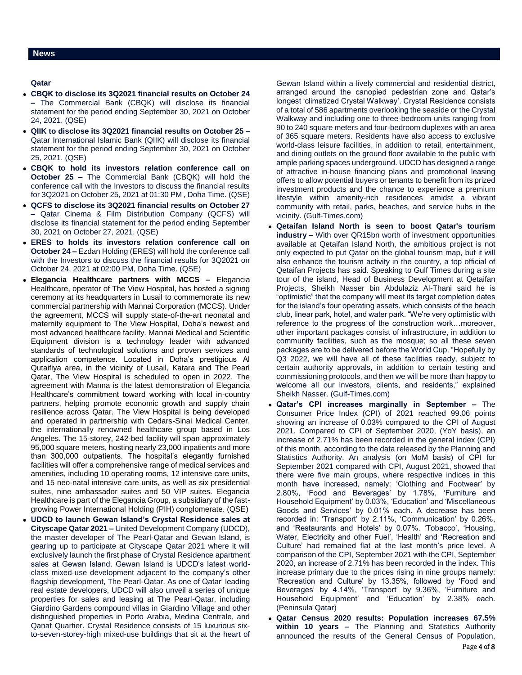**Qatar** 

- **CBQK to disclose its 3Q2021 financial results on October 24 –** The Commercial Bank (CBQK) will disclose its financial statement for the period ending September 30, 2021 on October 24, 2021. (QSE)
- **QIIK to disclose its 3Q2021 financial results on October 25 –** Qatar International Islamic Bank (QIIK) will disclose its financial statement for the period ending September 30, 2021 on October 25, 2021. (QSE)
- **CBQK to hold its investors relation conference call on October 25 –** The Commercial Bank (CBQK) will hold the conference call with the Investors to discuss the financial results for 3Q2021 on October 25, 2021 at 01:30 PM , Doha Time. (QSE)
- **QCFS to disclose its 3Q2021 financial results on October 27 –** Qatar Cinema & Film Distribution Company (QCFS) will disclose its financial statement for the period ending September 30, 2021 on October 27, 2021. (QSE)
- **ERES to holds its investors relation conference call on October 24 –** Ezdan Holding (ERES) will hold the conference call with the Investors to discuss the financial results for 3Q2021 on October 24, 2021 at 02:00 PM, Doha Time. (QSE)
- **Elegancia Healthcare partners with MCCS –** Elegancia Healthcare, operator of The View Hospital, has hosted a signing ceremony at its headquarters in Lusail to commemorate its new commercial partnership with Mannai Corporation (MCCS). Under the agreement, MCCS will supply state-of-the-art neonatal and maternity equipment to The View Hospital, Doha's newest and most advanced healthcare facility. Mannai Medical and Scientific Equipment division is a technology leader with advanced standards of technological solutions and proven services and application competence. Located in Doha's prestigious Al Qutaifiya area, in the vicinity of Lusail, Katara and The Pearl Qatar, The View Hospital is scheduled to open in 2022. The agreement with Manna is the latest demonstration of Elegancia Healthcare's commitment toward working with local in-country partners, helping promote economic growth and supply chain resilience across Qatar. The View Hospital is being developed and operated in partnership with Cedars-Sinai Medical Center, the internationally renowned healthcare group based in Los Angeles. The 15-storey, 242-bed facility will span approximately 95,000 square meters, hosting nearly 23,000 inpatients and more than 300,000 outpatients. The hospital's elegantly furnished facilities will offer a comprehensive range of medical services and amenities, including 10 operating rooms, 12 intensive care units, and 15 neo-natal intensive care units, as well as six presidential suites, nine ambassador suites and 50 VIP suites. Elegancia Healthcare is part of the Elegancia Group, a subsidiary of the fastgrowing Power International Holding (PIH) conglomerate. (QSE)
- **UDCD to launch Gewan Island's Crystal Residence sales at Cityscape Qatar 2021 –** United Development Company (UDCD), the master developer of The Pearl-Qatar and Gewan Island, is gearing up to participate at Cityscape Qatar 2021 where it will exclusively launch the first phase of Crystal Residence apartment sales at Gewan Island. Gewan Island is UDCD's latest worldclass mixed-use development adjacent to the company's other flagship development, The Pearl-Qatar. As one of Qatar' leading real estate developers, UDCD will also unveil a series of unique properties for sales and leasing at The Pearl-Qatar, including Giardino Gardens compound villas in Giardino Village and other distinguished properties in Porto Arabia, Medina Centrale, and Qanat Quartier. Crystal Residence consists of 15 luxurious sixto-seven-storey-high mixed-use buildings that sit at the heart of

Gewan Island within a lively commercial and residential district, arranged around the canopied pedestrian zone and Qatar's longest 'climatized Crystal Walkway'. Crystal Residence consists of a total of 586 apartments overlooking the seaside or the Crystal Walkway and including one to three-bedroom units ranging from 90 to 240 square meters and four-bedroom duplexes with an area of 365 square meters. Residents have also access to exclusive world-class leisure facilities, in addition to retail, entertainment, and dining outlets on the ground floor available to the public with ample parking spaces underground. UDCD has designed a range of attractive in-house financing plans and promotional leasing offers to allow potential buyers or tenants to benefit from its prized investment products and the chance to experience a premium lifestyle within amenity-rich residences amidst a vibrant community with retail, parks, beaches, and service hubs in the vicinity. (Gulf-Times.com)

- **Qetaifan Island North is seen to boost Qatar's tourism industry –** With over QR15bn worth of investment opportunities available at Qetaifan Island North, the ambitious project is not only expected to put Qatar on the global tourism map, but it will also enhance the tourism activity in the country, a top official of Qetaifan Projects has said. Speaking to Gulf Times during a site tour of the island, Head of Business Development at Qetaifan Projects, Sheikh Nasser bin Abdulaziz Al-Thani said he is "optimistic" that the company will meet its target completion dates for the island's four operating assets, which consists of the beach club, linear park, hotel, and water park. "We're very optimistic with reference to the progress of the construction work…moreover, other important packages consist of infrastructure, in addition to community facilities, such as the mosque; so all these seven packages are to be delivered before the World Cup. "Hopefully by Q3 2022, we will have all of these facilities ready, subject to certain authority approvals, in addition to certain testing and commissioning protocols, and then we will be more than happy to welcome all our investors, clients, and residents," explained Sheikh Nasser. (Gulf-Times.com)
- **Qatar's CPI increases marginally in September –** The Consumer Price Index (CPI) of 2021 reached 99.06 points showing an increase of 0.03% compared to the CPI of August 2021. Compared to CPI of September 2020, (YoY basis), an increase of 2.71% has been recorded in the general index (CPI) of this month, according to the data released by the Planning and Statistics Authority. An analysis (on MoM basis) of CPI for September 2021 compared with CPI, August 2021, showed that there were five main groups, where respective indices in this month have increased, namely: 'Clothing and Footwear' by 2.80%, 'Food and Beverages' by 1.78%, 'Furniture and Household Equipment' by 0.03%, 'Education' and 'Miscellaneous Goods and Services' by 0.01% each. A decrease has been recorded in: 'Transport' by 2.11%, 'Communication' by 0.26%, and 'Restaurants and Hotels' by 0.07%. 'Tobacco', 'Housing, Water, Electricity and other Fuel', 'Health' and 'Recreation and Culture' had remained flat at the last month's price level. A comparison of the CPI, September 2021 with the CPI, September 2020, an increase of 2.71% has been recorded in the index. This increase primary due to the prices rising in nine groups namely: 'Recreation and Culture' by 13.35%, followed by 'Food and Beverages' by 4.14%, 'Transport' by 9.36%, 'Furniture and Household Equipment' and 'Education' by 2.38% each. (Peninsula Qatar)
- **Qatar Census 2020 results: Population increases 67.5% within 10 years –** The Planning and Statistics Authority announced the results of the General Census of Population,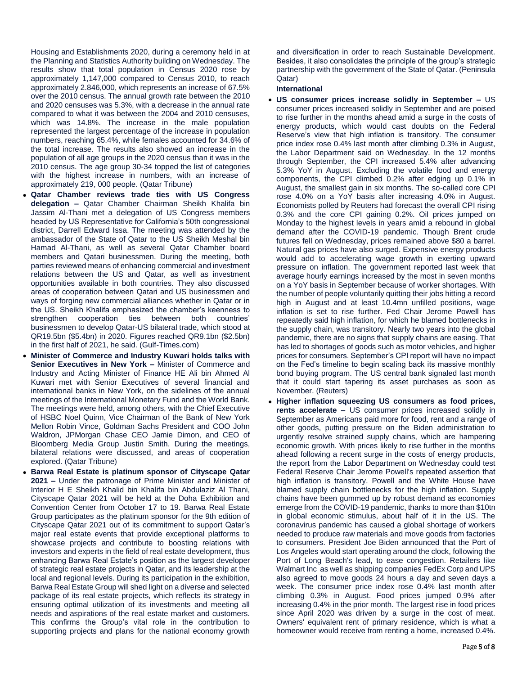Housing and Establishments 2020, during a ceremony held in at the Planning and Statistics Authority building on Wednesday. The results show that total population in Census 2020 rose by approximately 1,147,000 compared to Census 2010, to reach approximately 2.846,000, which represents an increase of 67.5% over the 2010 census. The annual growth rate between the 2010 and 2020 censuses was 5.3%, with a decrease in the annual rate compared to what it was between the 2004 and 2010 censuses, which was 14.8%. The increase in the male population represented the largest percentage of the increase in population numbers, reaching 65.4%, while females accounted for 34.6% of the total increase. The results also showed an increase in the population of all age groups in the 2020 census than it was in the 2010 census. The age group 30-34 topped the list of categories with the highest increase in numbers, with an increase of approximately 219, 000 people. (Qatar Tribune)

- **Qatar Chamber reviews trade ties with US Congress delegation –** Qatar Chamber Chairman Sheikh Khalifa bin Jassim Al-Thani met a delegation of US Congress members headed by US Representative for California's 50th congressional district, Darrell Edward Issa. The meeting was attended by the ambassador of the State of Qatar to the US Sheikh Meshal bin Hamad Al-Thani, as well as several Qatar Chamber board members and Qatari businessmen. During the meeting, both parties reviewed means of enhancing commercial and investment relations between the US and Qatar, as well as investment opportunities available in both countries. They also discussed areas of cooperation between Qatari and US businessmen and ways of forging new commercial alliances whether in Qatar or in the US. Sheikh Khalifa emphasized the chamber's keenness to strengthen cooperation ties between both countries' businessmen to develop Qatar-US bilateral trade, which stood at QR19.5bn (\$5.4bn) in 2020. Figures reached QR9.1bn (\$2.5bn) in the first half of 2021, he said. (Gulf-Times.com)
- **Minister of Commerce and Industry Kuwari holds talks with Senior Executives in New York –** Minister of Commerce and Industry and Acting Minister of Finance HE Ali bin Ahmed Al Kuwari met with Senior Executives of several financial and international banks in New York, on the sidelines of the annual meetings of the International Monetary Fund and the World Bank. The meetings were held, among others, with the Chief Executive of HSBC Noel Quinn, Vice Chairman of the Bank of New York Mellon Robin Vince, Goldman Sachs President and COO John Waldron, JPMorgan Chase CEO Jamie Dimon, and CEO of Bloomberg Media Group Justin Smith. During the meetings, bilateral relations were discussed, and areas of cooperation explored. (Qatar Tribune)
- **Barwa Real Estate is platinum sponsor of Cityscape Qatar 2021 –** Under the patronage of Prime Minister and Minister of Interior H E Sheikh Khalid bin Khalifa bin Abdulaziz Al Thani, Cityscape Qatar 2021 will be held at the Doha Exhibition and Convention Center from October 17 to 19. Barwa Real Estate Group participates as the platinum sponsor for the 9th edition of Cityscape Qatar 2021 out of its commitment to support Qatar's major real estate events that provide exceptional platforms to showcase projects and contribute to boosting relations with investors and experts in the field of real estate development, thus enhancing Barwa Real Estate's position as the largest developer of strategic real estate projects in Qatar, and its leadership at the local and regional levels. During its participation in the exhibition, Barwa Real Estate Group will shed light on a diverse and selected package of its real estate projects, which reflects its strategy in ensuring optimal utilization of its investments and meeting all needs and aspirations of the real estate market and customers. This confirms the Group's vital role in the contribution to supporting projects and plans for the national economy growth

and diversification in order to reach Sustainable Development. Besides, it also consolidates the principle of the group's strategic partnership with the government of the State of Qatar. (Peninsula Qatar)

#### **International**

- **US consumer prices increase solidly in September –** US consumer prices increased solidly in September and are poised to rise further in the months ahead amid a surge in the costs of energy products, which would cast doubts on the Federal Reserve's view that high inflation is transitory. The consumer price index rose 0.4% last month after climbing 0.3% in August, the Labor Department said on Wednesday. In the 12 months through September, the CPI increased 5.4% after advancing 5.3% YoY in August. Excluding the volatile food and energy components, the CPI climbed 0.2% after edging up 0.1% in August, the smallest gain in six months. The so-called core CPI rose 4.0% on a YoY basis after increasing 4.0% in August. Economists polled by Reuters had forecast the overall CPI rising 0.3% and the core CPI gaining 0.2%. Oil prices jumped on Monday to the highest levels in years amid a rebound in global demand after the COVID-19 pandemic. Though Brent crude futures fell on Wednesday, prices remained above \$80 a barrel. Natural gas prices have also surged. Expensive energy products would add to accelerating wage growth in exerting upward pressure on inflation. The government reported last week that average hourly earnings increased by the most in seven months on a YoY basis in September because of worker shortages. With the number of people voluntarily quitting their jobs hitting a record high in August and at least 10.4mn unfilled positions, wage inflation is set to rise further. Fed Chair Jerome Powell has repeatedly said high inflation, for which he blamed bottlenecks in the supply chain, was transitory. Nearly two years into the global pandemic, there are no signs that supply chains are easing. That has led to shortages of goods such as motor vehicles, and higher prices for consumers. September's CPI report will have no impact on the Fed's timeline to begin scaling back its massive monthly bond buying program. The US central bank signaled last month that it could start tapering its asset purchases as soon as November. (Reuters)
- **Higher inflation squeezing US consumers as food prices, rents accelerate –** US consumer prices increased solidly in September as Americans paid more for food, rent and a range of other goods, putting pressure on the Biden administration to urgently resolve strained supply chains, which are hampering economic growth. With prices likely to rise further in the months ahead following a recent surge in the costs of energy products, the report from the Labor Department on Wednesday could test Federal Reserve Chair Jerome Powell's repeated assertion that high inflation is transitory. Powell and the White House have blamed supply chain bottlenecks for the high inflation. Supply chains have been gummed up by robust demand as economies emerge from the COVID-19 pandemic, thanks to more than \$10tn in global economic stimulus, about half of it in the US. The coronavirus pandemic has caused a global shortage of workers needed to produce raw materials and move goods from factories to consumers. President Joe Biden announced that the Port of Los Angeles would start operating around the clock, following the Port of Long Beach's lead, to ease congestion. Retailers like Walmart Inc as well as shipping companies FedEx Corp and UPS also agreed to move goods 24 hours a day and seven days a week. The consumer price index rose 0.4% last month after climbing 0.3% in August. Food prices jumped 0.9% after increasing 0.4% in the prior month. The largest rise in food prices since April 2020 was driven by a surge in the cost of meat. Owners' equivalent rent of primary residence, which is what a homeowner would receive from renting a home, increased 0.4%.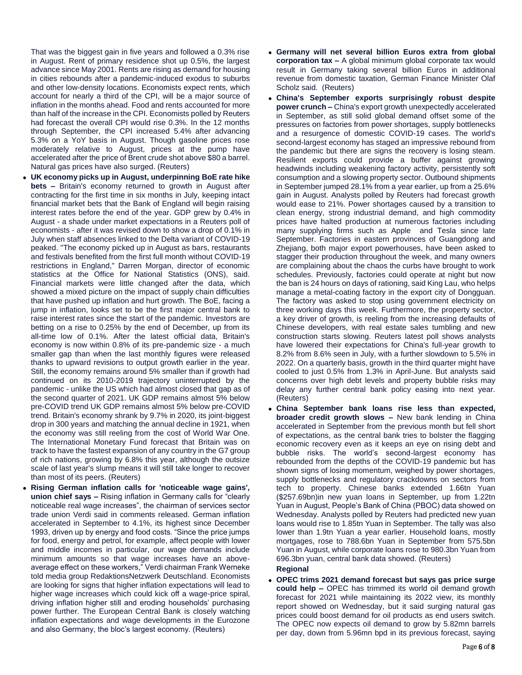That was the biggest gain in five years and followed a 0.3% rise in August. Rent of primary residence shot up 0.5%, the largest advance since May 2001. Rents are rising as demand for housing in cities rebounds after a pandemic-induced exodus to suburbs and other low-density locations. Economists expect rents, which account for nearly a third of the CPI, will be a major source of inflation in the months ahead. Food and rents accounted for more than half of the increase in the CPI. Economists polled by Reuters had forecast the overall CPI would rise 0.3%. In the 12 months through September, the CPI increased 5.4% after advancing 5.3% on a YoY basis in August. Though gasoline prices rose moderately relative to August, prices at the pump have accelerated after the price of Brent crude shot above \$80 a barrel. Natural gas prices have also surged. (Reuters)

- **UK economy picks up in August, underpinning BoE rate hike bets –** Britain's economy returned to growth in August after contracting for the first time in six months in July, keeping intact financial market bets that the Bank of England will begin raising interest rates before the end of the year. GDP grew by 0.4% in August - a shade under market expectations in a Reuters poll of economists - after it was revised down to show a drop of 0.1% in July when staff absences linked to the Delta variant of COVID-19 peaked. "The economy picked up in August as bars, restaurants and festivals benefited from the first full month without COVID-19 restrictions in England," Darren Morgan, director of economic statistics at the Office for National Statistics (ONS), said. Financial markets were little changed after the data, which showed a mixed picture on the impact of supply chain difficulties that have pushed up inflation and hurt growth. The BoE, facing a jump in inflation, looks set to be the first major central bank to raise interest rates since the start of the pandemic. Investors are betting on a rise to 0.25% by the end of December, up from its all-time low of 0.1%. After the latest official data, Britain's economy is now within 0.8% of its pre-pandemic size - a much smaller gap than when the last monthly figures were released thanks to upward revisions to output growth earlier in the year. Still, the economy remains around 5% smaller than if growth had continued on its 2010-2019 trajectory uninterrupted by the pandemic - unlike the US which had almost closed that gap as of the second quarter of 2021. UK GDP remains almost 5% below pre-COVID trend UK GDP remains almost 5% below pre-COVID trend. Britain's economy shrank by 9.7% in 2020, its joint-biggest drop in 300 years and matching the annual decline in 1921, when the economy was still reeling from the cost of World War One. The International Monetary Fund forecast that Britain was on track to have the fastest expansion of any country in the G7 group of rich nations, growing by 6.8% this year, although the outsize scale of last year's slump means it will still take longer to recover than most of its peers. (Reuters)
- **Rising German inflation calls for 'noticeable wage gains', union chief says –** Rising inflation in Germany calls for "clearly noticeable real wage increases", the chairman of services sector trade union Verdi said in comments released. German inflation accelerated in September to 4.1%, its highest since December 1993, driven up by energy and food costs. "Since the price jumps for food, energy and petrol, for example, affect people with lower and middle incomes in particular, our wage demands include minimum amounts so that wage increases have an aboveaverage effect on these workers," Verdi chairman Frank Werneke told media group RedaktionsNetzwerk Deutschland. Economists are looking for signs that higher inflation expectations will lead to higher wage increases which could kick off a wage-price spiral, driving inflation higher still and eroding households' purchasing power further. The European Central Bank is closely watching inflation expectations and wage developments in the Eurozone and also Germany, the bloc's largest economy. (Reuters)
- **Germany will net several billion Euros extra from global corporation tax –** A global minimum global corporate tax would result in Germany taking several billion Euros in additional revenue from domestic taxation, German Finance Minister Olaf Scholz said. (Reuters)
- **China's September exports surprisingly robust despite power crunch –** China's export growth unexpectedly accelerated in September, as still solid global demand offset some of the pressures on factories from power shortages, supply bottlenecks and a resurgence of domestic COVID-19 cases. The world's second-largest economy has staged an impressive rebound from the pandemic but there are signs the recovery is losing steam. Resilient exports could provide a buffer against growing headwinds including weakening factory activity, persistently soft consumption and a slowing property sector. Outbound shipments in September jumped 28.1% from a year earlier, up from a 25.6% gain in August. Analysts polled by Reuters had forecast growth would ease to 21%. Power shortages caused by a transition to clean energy, strong industrial demand, and high commodity prices have halted production at numerous factories including many supplying firms such as Apple and Tesla since late September. Factories in eastern provinces of Guangdong and Zhejiang, both major export powerhouses, have been asked to stagger their production throughout the week, and many owners are complaining about the chaos the curbs have brought to work schedules. Previously, factories could operate at night but now the ban is 24 hours on days of rationing, said King Lau, who helps manage a metal-coating factory in the export city of Dongguan. The factory was asked to stop using government electricity on three working days this week. Furthermore, the property sector, a key driver of growth, is reeling from the increasing defaults of Chinese developers, with real estate sales tumbling and new construction starts slowing. Reuters latest poll shows analysts have lowered their expectations for China's full-year growth to 8.2% from 8.6% seen in July, with a further slowdown to 5.5% in 2022. On a quarterly basis, growth in the third quarter might have cooled to just 0.5% from 1.3% in April-June. But analysts said concerns over high debt levels and property bubble risks may delay any further central bank policy easing into next year. (Reuters)
- **China September bank loans rise less than expected, broader credit growth slows –** New bank lending in China accelerated in September from the previous month but fell short of expectations, as the central bank tries to bolster the flagging economic recovery even as it keeps an eye on rising debt and bubble risks. The world's second-largest economy has rebounded from the depths of the COVID-19 pandemic but has shown signs of losing momentum, weighed by power shortages, supply bottlenecks and regulatory crackdowns on sectors from tech to property. Chinese banks extended 1.66tn Yuan (\$257.69bn)in new yuan loans in September, up from 1.22tn Yuan in August, People's Bank of China (PBOC) data showed on Wednesday. Analysts polled by Reuters had predicted new yuan loans would rise to 1.85tn Yuan in September. The tally was also lower than 1.9tn Yuan a year earlier. Household loans, mostly mortgages, rose to 788.6bn Yuan in September from 575.5bn Yuan in August, while corporate loans rose to 980.3bn Yuan from 696.3bn yuan, central bank data showed. (Reuters)

#### **Regional**

 **OPEC trims 2021 demand forecast but says gas price surge could help –** OPEC has trimmed its world oil demand growth forecast for 2021 while maintaining its 2022 view, its monthly report showed on Wednesday, but it said surging natural gas prices could boost demand for oil products as end users switch. The OPEC now expects oil demand to grow by 5.82mn barrels per day, down from 5.96mn bpd in its previous forecast, saying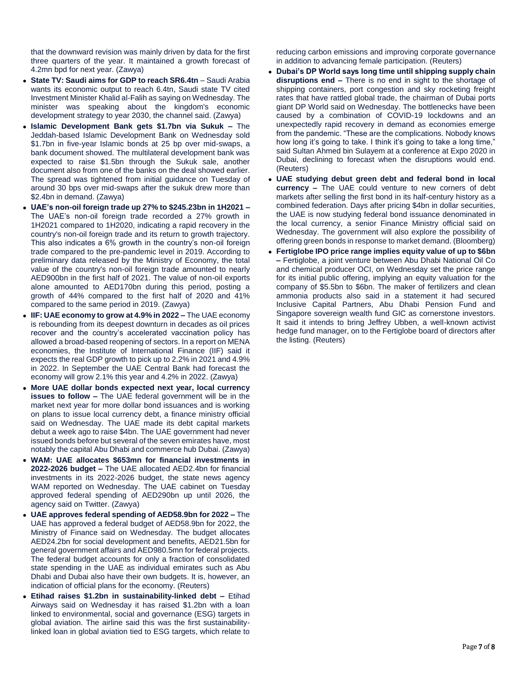that the downward revision was mainly driven by data for the first three quarters of the year. It maintained a growth forecast of 4.2mn bpd for next year. (Zawya)

- **State TV: Saudi aims for GDP to reach SR6.4tn** Saudi Arabia wants its economic output to reach 6.4tn, Saudi state TV cited Investment Minister Khalid al-Falih as saying on Wednesday. The minister was speaking about the kingdom's economic development strategy to year 2030, the channel said. (Zawya)
- **Islamic Development Bank gets \$1.7bn via Sukuk –** The Jeddah-based Islamic Development Bank on Wednesday sold \$1.7bn in five-year Islamic bonds at 25 bp over mid-swaps, a bank document showed. The multilateral development bank was expected to raise \$1.5bn through the Sukuk sale, another document also from one of the banks on the deal showed earlier. The spread was tightened from initial guidance on Tuesday of around 30 bps over mid-swaps after the sukuk drew more than \$2.4bn in demand. (Zawya)
- **UAE's non-oil foreign trade up 27% to \$245.23bn in 1H2021 –** The UAE's non-oil foreign trade recorded a 27% growth in 1H2021 compared to 1H2020, indicating a rapid recovery in the country's non-oil foreign trade and its return to growth trajectory. This also indicates a 6% growth in the country's non-oil foreign trade compared to the pre-pandemic level in 2019. According to preliminary data released by the Ministry of Economy, the total value of the country's non-oil foreign trade amounted to nearly AED900bn in the first half of 2021. The value of non-oil exports alone amounted to AED170bn during this period, posting a growth of 44% compared to the first half of 2020 and 41% compared to the same period in 2019. (Zawya)
- **IIF: UAE economy to grow at 4.9% in 2022 –** The UAE economy is rebounding from its deepest downturn in decades as oil prices recover and the country's accelerated vaccination policy has allowed a broad-based reopening of sectors. In a report on MENA economies, the Institute of International Finance (IIF) said it expects the real GDP growth to pick up to 2.2% in 2021 and 4.9% in 2022. In September the UAE Central Bank had forecast the economy will grow 2.1% this year and 4.2% in 2022. (Zawya)
- **More UAE dollar bonds expected next year, local currency issues to follow –** The UAE federal government will be in the market next year for more dollar bond issuances and is working on plans to issue local currency debt, a finance ministry official said on Wednesday. The UAE made its debt capital markets debut a week ago to raise \$4bn. The UAE government had never issued bonds before but several of the seven emirates have, most notably the capital Abu Dhabi and commerce hub Dubai. (Zawya)
- **WAM: UAE allocates \$653mn for financial investments in 2022-2026 budget –** The UAE allocated AED2.4bn for financial investments in its 2022-2026 budget, the state news agency WAM reported on Wednesday. The UAE cabinet on Tuesday approved federal spending of AED290bn up until 2026, the agency said on Twitter. (Zawya)
- **UAE approves federal spending of AED58.9bn for 2022 –** The UAE has approved a federal budget of AED58.9bn for 2022, the Ministry of Finance said on Wednesday. The budget allocates AED24.2bn for social development and benefits, AED21.5bn for general government affairs and AED980.5mn for federal projects. The federal budget accounts for only a fraction of consolidated state spending in the UAE as individual emirates such as Abu Dhabi and Dubai also have their own budgets. It is, however, an indication of official plans for the economy. (Reuters)
- **Etihad raises \$1.2bn in sustainability-linked debt –** Etihad Airways said on Wednesday it has raised \$1.2bn with a loan linked to environmental, social and governance (ESG) targets in global aviation. The airline said this was the first sustainabilitylinked loan in global aviation tied to ESG targets, which relate to

reducing carbon emissions and improving corporate governance in addition to advancing female participation. (Reuters)

- **Dubai's DP World says long time until shipping supply chain disruptions end –** There is no end in sight to the shortage of shipping containers, port congestion and sky rocketing freight rates that have rattled global trade, the chairman of Dubai ports giant DP World said on Wednesday. The bottlenecks have been caused by a combination of COVID-19 lockdowns and an unexpectedly rapid recovery in demand as economies emerge from the pandemic. "These are the complications. Nobody knows how long it's going to take. I think it's going to take a long time," said Sultan Ahmed bin Sulayem at a conference at Expo 2020 in Dubai, declining to forecast when the disruptions would end. (Reuters)
- **UAE studying debut green debt and federal bond in local currency –** The UAE could venture to new corners of debt markets after selling the first bond in its half-century history as a combined federation. Days after pricing \$4bn in dollar securities, the UAE is now studying federal bond issuance denominated in the local currency, a senior Finance Ministry official said on Wednesday. The government will also explore the possibility of offering green bonds in response to market demand. (Bloomberg)
- **Fertiglobe IPO price range implies equity value of up to \$6bn –** Fertiglobe, a joint venture between Abu Dhabi National Oil Co and chemical producer OCI, on Wednesday set the price range for its initial public offering, implying an equity valuation for the company of \$5.5bn to \$6bn. The maker of fertilizers and clean ammonia products also said in a statement it had secured Inclusive Capital Partners, Abu Dhabi Pension Fund and Singapore sovereign wealth fund GIC as cornerstone investors. It said it intends to bring Jeffrey Ubben, a well-known activist hedge fund manager, on to the Fertiglobe board of directors after the listing. (Reuters)